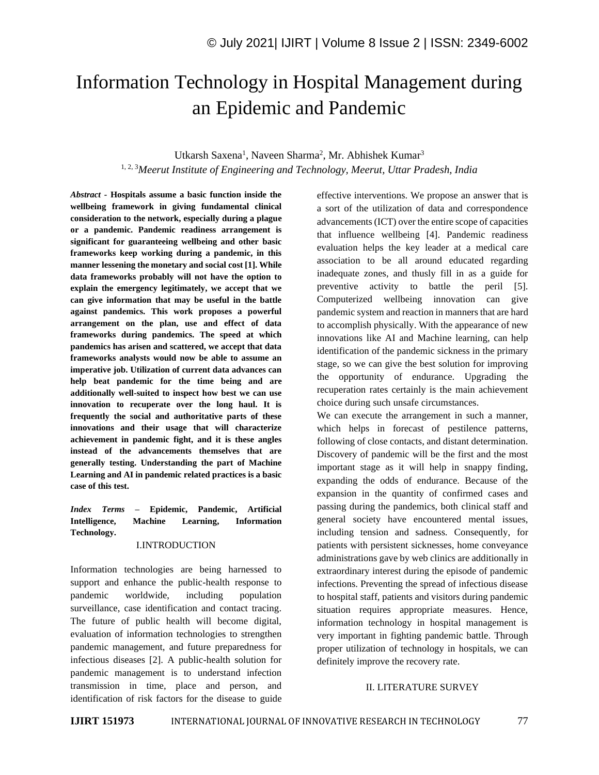# Information Technology in Hospital Management during an Epidemic and Pandemic

## Utkarsh Saxena<sup>1</sup>, Naveen Sharma<sup>2</sup>, Mr. Abhishek Kumar<sup>3</sup> 1, 2, 3*Meerut Institute of Engineering and Technology, Meerut, Uttar Pradesh, India*

*Abstract -* **Hospitals assume a basic function inside the wellbeing framework in giving fundamental clinical consideration to the network, especially during a plague or a pandemic. Pandemic readiness arrangement is significant for guaranteeing wellbeing and other basic frameworks keep working during a pandemic, in this manner lessening the monetary and social cost [1]. While data frameworks probably will not have the option to explain the emergency legitimately, we accept that we can give information that may be useful in the battle against pandemics. This work proposes a powerful arrangement on the plan, use and effect of data frameworks during pandemics. The speed at which pandemics has arisen and scattered, we accept that data frameworks analysts would now be able to assume an imperative job. Utilization of current data advances can help beat pandemic for the time being and are additionally well-suited to inspect how best we can use innovation to recuperate over the long haul. It is frequently the social and authoritative parts of these innovations and their usage that will characterize achievement in pandemic fight, and it is these angles instead of the advancements themselves that are generally testing. Understanding the part of Machine Learning and AI in pandemic related practices is a basic case of this test.**

## *Index Terms –* **Epidemic, Pandemic, Artificial Intelligence, Machine Learning, Information Technology.**

#### I.INTRODUCTION

Information technologies are being harnessed to support and enhance the public-health response to pandemic worldwide, including population surveillance, case identification and contact tracing. The future of public health will become digital, evaluation of information technologies to strengthen pandemic management, and future preparedness for infectious diseases [2]. A public-health solution for pandemic management is to understand infection transmission in time, place and person, and identification of risk factors for the disease to guide

effective interventions. We propose an answer that is a sort of the utilization of data and correspondence advancements (ICT) over the entire scope of capacities that influence wellbeing [4]. Pandemic readiness evaluation helps the key leader at a medical care association to be all around educated regarding inadequate zones, and thusly fill in as a guide for preventive activity to battle the peril [5]. Computerized wellbeing innovation can give pandemic system and reaction in manners that are hard to accomplish physically. With the appearance of new innovations like AI and Machine learning, can help identification of the pandemic sickness in the primary stage, so we can give the best solution for improving the opportunity of endurance. Upgrading the recuperation rates certainly is the main achievement choice during such unsafe circumstances.

We can execute the arrangement in such a manner, which helps in forecast of pestilence patterns, following of close contacts, and distant determination. Discovery of pandemic will be the first and the most important stage as it will help in snappy finding, expanding the odds of endurance. Because of the expansion in the quantity of confirmed cases and passing during the pandemics, both clinical staff and general society have encountered mental issues, including tension and sadness. Consequently, for patients with persistent sicknesses, home conveyance administrations gave by web clinics are additionally in extraordinary interest during the episode of pandemic infections. Preventing the spread of infectious disease to hospital staff, patients and visitors during pandemic situation requires appropriate measures. Hence, information technology in hospital management is very important in fighting pandemic battle. Through proper utilization of technology in hospitals, we can definitely improve the recovery rate.

#### II. LITERATURE SURVEY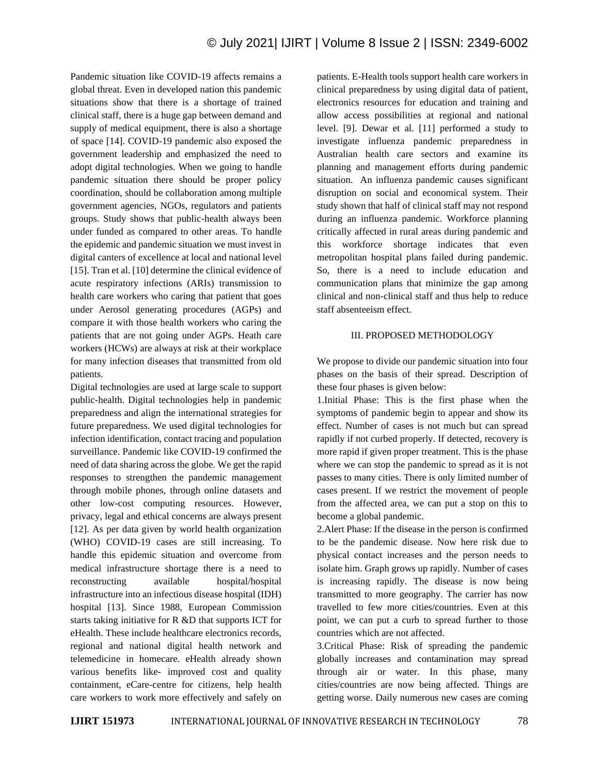Pandemic situation like COVID-19 affects remains a global threat. Even in developed nation this pandemic situations show that there is a shortage of trained clinical staff, there is a huge gap between demand and supply of medical equipment, there is also a shortage of space [14]. COVID-19 pandemic also exposed the government leadership and emphasized the need to adopt digital technologies. When we going to handle pandemic situation there should be proper policy coordination, should be collaboration among multiple government agencies, NGOs, regulators and patients groups. Study shows that public-health always been under funded as compared to other areas. To handle the epidemic and pandemic situation we must invest in digital canters of excellence at local and national level [15]. Tran et al. [10] determine the clinical evidence of acute respiratory infections (ARIs) transmission to health care workers who caring that patient that goes under Aerosol generating procedures (AGPs) and compare it with those health workers who caring the patients that are not going under AGPs. Heath care workers (HCWs) are always at risk at their workplace for many infection diseases that transmitted from old patients.

Digital technologies are used at large scale to support public-health. Digital technologies help in pandemic preparedness and align the international strategies for future preparedness. We used digital technologies for infection identification, contact tracing and population surveillance. Pandemic like COVID-19 confirmed the need of data sharing across the globe. We get the rapid responses to strengthen the pandemic management through mobile phones, through online datasets and other low-cost computing resources. However, privacy, legal and ethical concerns are always present [12]. As per data given by world health organization (WHO) COVID-19 cases are still increasing. To handle this epidemic situation and overcome from medical infrastructure shortage there is a need to reconstructing available hospital/hospital infrastructure into an infectious disease hospital (IDH) hospital [13]. Since 1988, European Commission starts taking initiative for R &D that supports ICT for eHealth. These include healthcare electronics records, regional and national digital health network and telemedicine in homecare. eHealth already shown various benefits like- improved cost and quality containment, eCare-centre for citizens, help health care workers to work more effectively and safely on patients. E-Health tools support health care workers in clinical preparedness by using digital data of patient, electronics resources for education and training and allow access possibilities at regional and national level. [9]. Dewar et al. [11] performed a study to investigate influenza pandemic preparedness in Australian health care sectors and examine its planning and management efforts during pandemic situation. An influenza pandemic causes significant disruption on social and economical system. Their study shown that half of clinical staff may not respond during an influenza pandemic. Workforce planning critically affected in rural areas during pandemic and this workforce shortage indicates that even metropolitan hospital plans failed during pandemic. So, there is a need to include education and communication plans that minimize the gap among clinical and non-clinical staff and thus help to reduce staff absenteeism effect.

## III. PROPOSED METHODOLOGY

We propose to divide our pandemic situation into four phases on the basis of their spread. Description of these four phases is given below:

1.Initial Phase: This is the first phase when the symptoms of pandemic begin to appear and show its effect. Number of cases is not much but can spread rapidly if not curbed properly. If detected, recovery is more rapid if given proper treatment. This is the phase where we can stop the pandemic to spread as it is not passes to many cities. There is only limited number of cases present. If we restrict the movement of people from the affected area, we can put a stop on this to become a global pandemic.

2.Alert Phase: If the disease in the person is confirmed to be the pandemic disease. Now here risk due to physical contact increases and the person needs to isolate him. Graph grows up rapidly. Number of cases is increasing rapidly. The disease is now being transmitted to more geography. The carrier has now travelled to few more cities/countries. Even at this point, we can put a curb to spread further to those countries which are not affected.

3.Critical Phase: Risk of spreading the pandemic globally increases and contamination may spread through air or water. In this phase, many cities/countries are now being affected. Things are getting worse. Daily numerous new cases are coming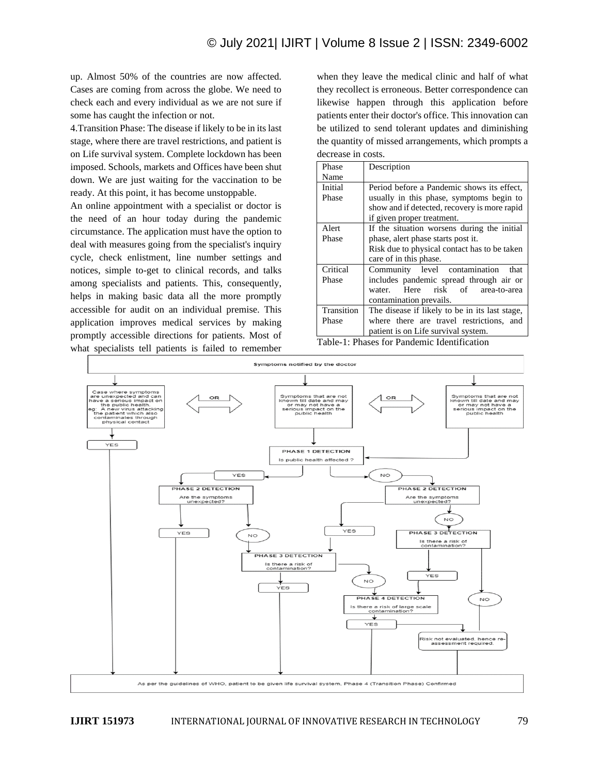up. Almost 50% of the countries are now affected. Cases are coming from across the globe. We need to check each and every individual as we are not sure if some has caught the infection or not.

4.Transition Phase: The disease if likely to be in its last stage, where there are travel restrictions, and patient is on Life survival system. Complete lockdown has been imposed. Schools, markets and Offices have been shut down. We are just waiting for the vaccination to be ready. At this point, it has become unstoppable.

An online appointment with a specialist or doctor is the need of an hour today during the pandemic circumstance. The application must have the option to deal with measures going from the specialist's inquiry cycle, check enlistment, line number settings and notices, simple to-get to clinical records, and talks among specialists and patients. This, consequently, helps in making basic data all the more promptly accessible for audit on an individual premise. This application improves medical services by making promptly accessible directions for patients. Most of what specialists tell patients is failed to remember

when they leave the medical clinic and half of what they recollect is erroneous. Better correspondence can likewise happen through this application before patients enter their doctor's office. This innovation can be utilized to send tolerant updates and diminishing the quantity of missed arrangements, which prompts a decrease in costs.

| Phase                                          | Description                                    |
|------------------------------------------------|------------------------------------------------|
| Name                                           |                                                |
| Initial                                        | Period before a Pandemic shows its effect,     |
| Phase                                          | usually in this phase, symptoms begin to       |
|                                                | show and if detected, recovery is more rapid   |
|                                                | if given proper treatment.                     |
| Alert                                          | If the situation worsens during the initial    |
| Phase                                          | phase, alert phase starts post it.             |
|                                                | Risk due to physical contact has to be taken   |
|                                                | care of in this phase.                         |
| Critical                                       | Community level contamination<br>that          |
| Phase                                          | includes pandemic spread through air or        |
|                                                | Here risk of area-to-area<br>water.            |
|                                                | contamination prevails.                        |
| Transition                                     | The disease if likely to be in its last stage, |
| Phase                                          | where there are travel restrictions, and       |
|                                                | patient is on Life survival system.            |
| ---<br>$\sim$ $\sim$ $\sim$ $\sim$<br>$\cdots$ |                                                |

Table-1: Phases for Pandemic Identification



**IJIRT 151973** INTERNATIONAL JOURNAL OF INNOVATIVE RESEARCH IN TECHNOLOGY 79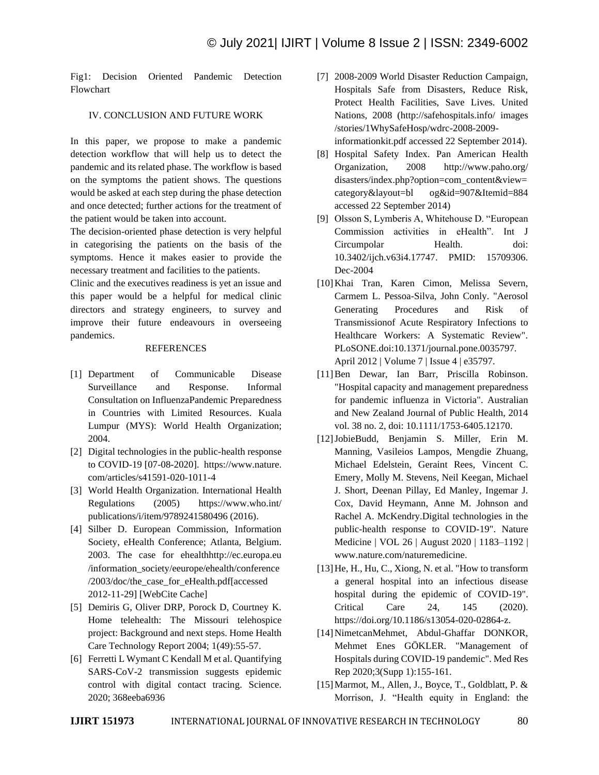Fig1: Decision Oriented Pandemic Detection Flowchart

### IV. CONCLUSION AND FUTURE WORK

In this paper, we propose to make a pandemic detection workflow that will help us to detect the pandemic and its related phase. The workflow is based on the symptoms the patient shows. The questions would be asked at each step during the phase detection and once detected; further actions for the treatment of the patient would be taken into account.

The decision-oriented phase detection is very helpful in categorising the patients on the basis of the symptoms. Hence it makes easier to provide the necessary treatment and facilities to the patients.

Clinic and the executives readiness is yet an issue and this paper would be a helpful for medical clinic directors and strategy engineers, to survey and improve their future endeavours in overseeing pandemics.

#### REFERENCES

- [1] Department of Communicable Disease Surveillance and Response. Informal Consultation on InfluenzaPandemic Preparedness in Countries with Limited Resources. Kuala Lumpur (MYS): World Health Organization; 2004.
- [2] Digital technologies in the public-health response to COVID-19 [07-08-2020]. https://www.nature. com/articles/s41591-020-1011-4
- [3] World Health Organization. International Health Regulations (2005) https://www.who.int/ publications/i/item/9789241580496 (2016).
- [4] Silber D. European Commission, Information Society, eHealth Conference; Atlanta, Belgium. 2003. The case for ehealthhttp://ec.europa.eu /information\_society/eeurope/ehealth/conference /2003/doc/the\_case\_for\_eHealth.pdf[accessed 2012-11-29] [WebCite Cache]
- [5] Demiris G, Oliver DRP, Porock D, Courtney K. Home telehealth: The Missouri telehospice project: Background and next steps. Home Health Care Technology Report 2004; 1(49):55-57.
- [6] Ferretti L Wymant C Kendall M et al. Quantifying SARS-CoV-2 transmission suggests epidemic control with digital contact tracing. Science. 2020; 368eeba6936
- [7] 2008-2009 World Disaster Reduction Campaign, Hospitals Safe from Disasters, Reduce Risk, Protect Health Facilities, Save Lives. United Nations, 2008 (http://safehospitals.info/ images /stories/1WhySafeHosp/wdrc-2008-2009 informationkit.pdf accessed 22 September 2014).
- [8] Hospital Safety Index. Pan American Health Organization, 2008 http://www.paho.org/ disasters/index.php?option=com\_content&view= category&layout=bl og&id=907&Itemid=884 accessed 22 September 2014)
- [9] Olsson S, Lymberis A, Whitehouse D. "European Commission activities in eHealth". Int J Circumpolar Health. doi: 10.3402/ijch.v63i4.17747. PMID: 15709306. Dec-2004
- [10]Khai Tran, Karen Cimon, Melissa Severn, Carmem L. Pessoa-Silva, John Conly. "Aerosol Generating Procedures and Risk of Transmissionof Acute Respiratory Infections to Healthcare Workers: A Systematic Review". PLoSONE.doi:10.1371/journal.pone.0035797. April 2012 | Volume 7 | Issue 4 | e35797.
- [11]Ben Dewar, Ian Barr, Priscilla Robinson. "Hospital capacity and management preparedness for pandemic influenza in Victoria". Australian and New Zealand Journal of Public Health, 2014 vol. 38 no. 2, doi: 10.1111/1753-6405.12170.
- [12]JobieBudd, Benjamin S. Miller, Erin M. Manning, Vasileios Lampos, Mengdie Zhuang, Michael Edelstein, Geraint Rees, Vincent C. Emery, Molly M. Stevens, Neil Keegan, Michael J. Short, Deenan Pillay, Ed Manley, Ingemar J. Cox, David Heymann, Anne M. Johnson and Rachel A. McKendry.Digital technologies in the public-health response to COVID-19". Nature Medicine | VOL 26 | August 2020 | 1183–1192 | www.nature.com/naturemedicine.
- [13]He, H., Hu, C., Xiong, N. et al. "How to transform a general hospital into an infectious disease hospital during the epidemic of COVID-19". Critical Care 24, 145 (2020). https://doi.org/10.1186/s13054-020-02864-z.
- [14]NimetcanMehmet, Abdul-Ghaffar DONKOR, Mehmet Enes GÖKLER. "Management of Hospitals during COVID-19 pandemic". Med Res Rep 2020;3(Supp 1):155-161.
- [15]Marmot, M., Allen, J., Boyce, T., Goldblatt, P. & Morrison, J. "Health equity in England: the